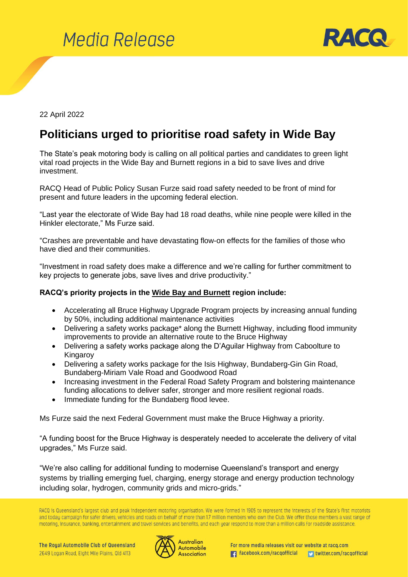



22 April 2022

## **Politicians urged to prioritise road safety in Wide Bay**

The State's peak motoring body is calling on all political parties and candidates to green light vital road projects in the Wide Bay and Burnett regions in a bid to save lives and drive investment.

RACQ Head of Public Policy Susan Furze said road safety needed to be front of mind for present and future leaders in the upcoming federal election.

"Last year the electorate of Wide Bay had 18 road deaths, while nine people were killed in the Hinkler electorate," Ms Furze said.

"Crashes are preventable and have devastating flow-on effects for the families of those who have died and their communities.

"Investment in road safety does make a difference and we're calling for further commitment to key projects to generate jobs, save lives and drive productivity."

## **RACQ's priority projects in the Wide Bay and Burnett region include:**

- Accelerating all Bruce Highway Upgrade Program projects by increasing annual funding by 50%, including additional maintenance activities
- Delivering a safety works package\* along the Burnett Highway, including flood immunity improvements to provide an alternative route to the Bruce Highway
- Delivering a safety works package along the D'Aguilar Highway from Caboolture to Kingaroy
- Delivering a safety works package for the Isis Highway, Bundaberg-Gin Gin Road, Bundaberg-Miriam Vale Road and Goodwood Road
- Increasing investment in the Federal Road Safety Program and bolstering maintenance funding allocations to deliver safer, stronger and more resilient regional roads.
- Immediate funding for the Bundaberg flood levee.

Ms Furze said the next Federal Government must make the Bruce Highway a priority.

"A funding boost for the Bruce Highway is desperately needed to accelerate the delivery of vital upgrades," Ms Furze said.

"We're also calling for additional funding to modernise Queensland's transport and energy systems by trialling emerging fuel, charging, energy storage and energy production technology including solar, hydrogen, community grids and micro-grids."

RACQ is Queensland's largest club and peak independent motoring organisation. We were formed in 1905 to represent the interests of the State's first motorists and today campaign for safer drivers, vehicles and roads on behalf of more than 1.7 million members who own the Club. We offer those members a vast range of motoring, insurance, banking, entertainment and travel services and benefits, and each year respond to more than a million calls for roadside assistance.